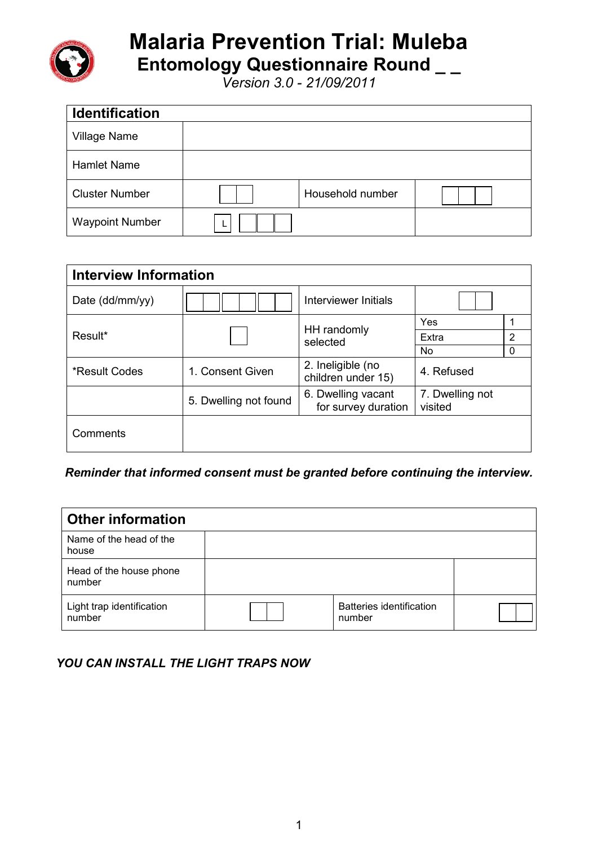

## **Malaria Prevention Trial: Muleba Entomology Questionnaire Round \_ \_**

*Version 3.0 - 21/09/2011*

| <b>Identification</b>  |                  |  |
|------------------------|------------------|--|
| <b>Village Name</b>    |                  |  |
| <b>Hamlet Name</b>     |                  |  |
| <b>Cluster Number</b>  | Household number |  |
| <b>Waypoint Number</b> |                  |  |

| <b>Interview Information</b> |                       |                                           |                            |          |  |  |  |  |
|------------------------------|-----------------------|-------------------------------------------|----------------------------|----------|--|--|--|--|
| Date (dd/mm/yy)              |                       | Interviewer Initials                      |                            |          |  |  |  |  |
|                              |                       | HH randomly                               | Yes                        |          |  |  |  |  |
| Result*                      |                       | selected                                  | Extra                      | 2        |  |  |  |  |
|                              |                       |                                           | No.                        | $\Omega$ |  |  |  |  |
| *Result Codes                | 1. Consent Given      | 2. Ineligible (no<br>children under 15)   | 4. Refused                 |          |  |  |  |  |
|                              | 5. Dwelling not found | 6. Dwelling vacant<br>for survey duration | 7. Dwelling not<br>visited |          |  |  |  |  |
| Comments                     |                       |                                           |                            |          |  |  |  |  |

*Reminder that informed consent must be granted before continuing the interview.*

| <b>Other information</b>            |                                    |  |
|-------------------------------------|------------------------------------|--|
| Name of the head of the<br>house    |                                    |  |
| Head of the house phone<br>number   |                                    |  |
| Light trap identification<br>number | Batteries identification<br>number |  |

## *YOU CAN INSTALL THE LIGHT TRAPS NOW*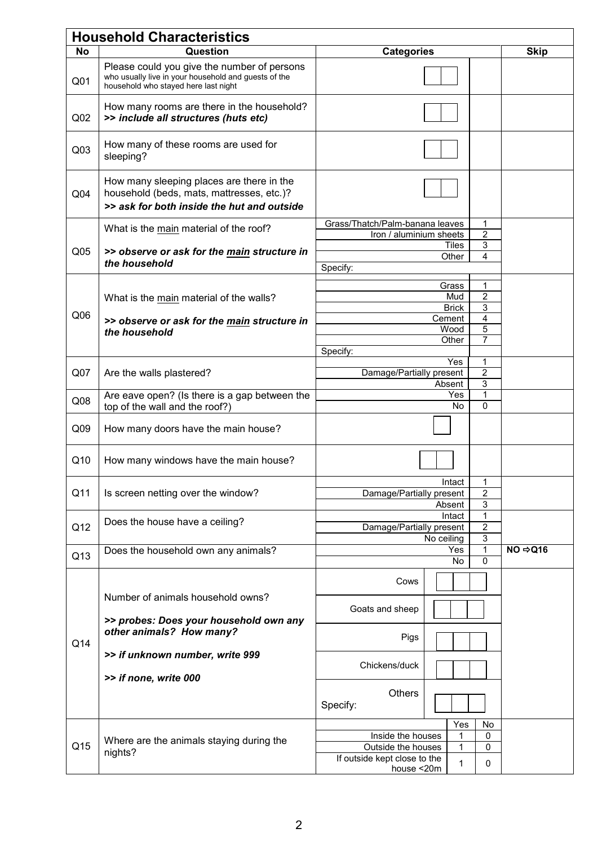|                 | <b>Household Characteristics</b>                                                                                                            |                                                             |                       |                     |                      |  |  |  |
|-----------------|---------------------------------------------------------------------------------------------------------------------------------------------|-------------------------------------------------------------|-----------------------|---------------------|----------------------|--|--|--|
| No              | Question                                                                                                                                    | <b>Categories</b>                                           |                       | <b>Skip</b>         |                      |  |  |  |
| Q <sub>01</sub> | Please could you give the number of persons<br>who usually live in your household and guests of the<br>household who stayed here last night |                                                             |                       |                     |                      |  |  |  |
| Q <sub>02</sub> | How many rooms are there in the household?<br>>> include all structures (huts etc)                                                          |                                                             |                       |                     |                      |  |  |  |
| Q <sub>03</sub> | How many of these rooms are used for<br>sleeping?                                                                                           |                                                             |                       |                     |                      |  |  |  |
| Q <sub>04</sub> | How many sleeping places are there in the<br>household (beds, mats, mattresses, etc.)?<br>>> ask for both inside the hut and outside        |                                                             |                       |                     |                      |  |  |  |
|                 | What is the main material of the roof?                                                                                                      | Grass/Thatch/Palm-banana leaves<br>Iron / aluminium sheets  |                       | 1<br>2              |                      |  |  |  |
| Q <sub>05</sub> | >> observe or ask for the main structure in                                                                                                 |                                                             | <b>Tiles</b><br>Other | 3<br>4              |                      |  |  |  |
|                 | the household                                                                                                                               | Specify:                                                    |                       |                     |                      |  |  |  |
|                 |                                                                                                                                             |                                                             | Grass                 | 1                   |                      |  |  |  |
|                 | What is the main material of the walls?                                                                                                     |                                                             | Mud                   | $\overline{2}$      |                      |  |  |  |
| Q <sub>06</sub> |                                                                                                                                             |                                                             | <b>Brick</b>          | 3                   |                      |  |  |  |
|                 | >> observe or ask for the main structure in                                                                                                 |                                                             | Cement<br>Wood        | 4<br>5              |                      |  |  |  |
|                 | the household                                                                                                                               |                                                             | Other                 | $\overline{7}$      |                      |  |  |  |
|                 |                                                                                                                                             | Specify:                                                    |                       |                     |                      |  |  |  |
| Q <sub>07</sub> | Are the walls plastered?                                                                                                                    | Damage/Partially present                                    | <b>Yes</b>            | 1<br>$\overline{c}$ |                      |  |  |  |
|                 |                                                                                                                                             |                                                             | 3                     |                     |                      |  |  |  |
| Q <sub>08</sub> | Are eave open? (Is there is a gap between the<br>top of the wall and the roof?)                                                             |                                                             | 1<br>$\Omega$         |                     |                      |  |  |  |
| Q <sub>09</sub> | How many doors have the main house?                                                                                                         |                                                             |                       |                     |                      |  |  |  |
| Q10             | How many windows have the main house?                                                                                                       |                                                             |                       |                     |                      |  |  |  |
| Q11             | Is screen netting over the window?                                                                                                          | Intact<br>1<br>2<br>Damage/Partially present<br>3<br>Absent |                       |                     |                      |  |  |  |
|                 | Does the house have a ceiling?                                                                                                              | 1<br>Intact                                                 |                       |                     |                      |  |  |  |
| Q <sub>12</sub> |                                                                                                                                             | Damage/Partially present                                    |                       | $\overline{2}$      |                      |  |  |  |
|                 | Does the household own any animals?                                                                                                         | 3<br>No ceiling<br>1<br>Yes                                 |                       |                     | $NO \Rightarrow Q16$ |  |  |  |
| Q13             |                                                                                                                                             |                                                             | No                    | 0                   |                      |  |  |  |
|                 |                                                                                                                                             | Cows                                                        |                       |                     |                      |  |  |  |
|                 | Number of animals household owns?                                                                                                           | Goats and sheep                                             |                       |                     |                      |  |  |  |
|                 | >> probes: Does your household own any<br>other animals? How many?                                                                          | Pigs                                                        |                       |                     |                      |  |  |  |
| Q14             | >> if unknown number, write 999                                                                                                             | Chickens/duck                                               |                       |                     |                      |  |  |  |
|                 | >> if none, write 000                                                                                                                       |                                                             |                       |                     |                      |  |  |  |
|                 |                                                                                                                                             | <b>Others</b><br>Specify:                                   |                       |                     |                      |  |  |  |
|                 |                                                                                                                                             |                                                             | Yes                   | No                  |                      |  |  |  |
| Q15             | Where are the animals staying during the                                                                                                    | Inside the houses<br>1<br>0<br>Outside the houses<br>1<br>0 |                       |                     |                      |  |  |  |
|                 | nights?                                                                                                                                     | If outside kept close to the<br>1<br>0<br>house <20m        |                       |                     |                      |  |  |  |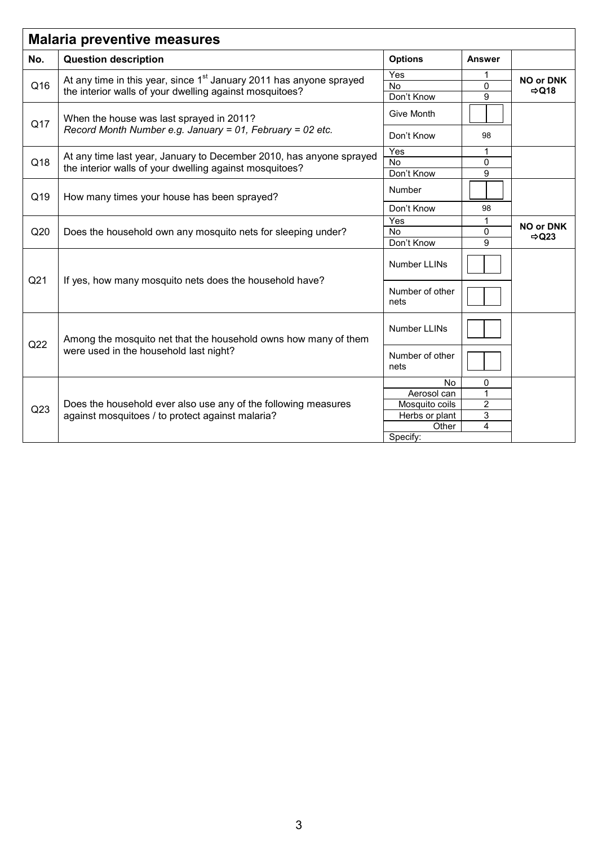| <b>Malaria preventive measures</b> |                                                                                 |                         |                |                                       |  |  |  |
|------------------------------------|---------------------------------------------------------------------------------|-------------------------|----------------|---------------------------------------|--|--|--|
| No.                                | <b>Question description</b>                                                     | <b>Options</b>          | Answer         |                                       |  |  |  |
|                                    | At any time in this year, since 1 <sup>st</sup> January 2011 has anyone sprayed | Yes<br>1                |                |                                       |  |  |  |
| Q16                                |                                                                                 | No                      | $\Omega$       | <b>NO or DNK</b><br>$\Rightarrow$ Q18 |  |  |  |
|                                    | the interior walls of your dwelling against mosquitoes?                         | Don't Know              | 9              |                                       |  |  |  |
| Q17                                | When the house was last sprayed in 2011?                                        | Give Month              |                |                                       |  |  |  |
|                                    | Record Month Number e.g. January = 01, February = 02 etc.                       | Don't Know              | 98             |                                       |  |  |  |
|                                    | At any time last year, January to December 2010, has anyone sprayed             | Yes                     | 1              |                                       |  |  |  |
| Q18                                | the interior walls of your dwelling against mosquitoes?                         | <b>No</b>               | 0              |                                       |  |  |  |
|                                    |                                                                                 | Don't Know              | 9              |                                       |  |  |  |
| Q19                                | How many times your house has been sprayed?                                     | Number                  |                |                                       |  |  |  |
|                                    |                                                                                 | Don't Know              | 98             |                                       |  |  |  |
|                                    |                                                                                 | Yes                     |                | <b>NO or DNK</b><br>$\Rightarrow$ Q23 |  |  |  |
| Q20                                | Does the household own any mosquito nets for sleeping under?                    | <b>No</b>               | 0              |                                       |  |  |  |
|                                    |                                                                                 | Don't Know              | 9              |                                       |  |  |  |
|                                    | If yes, how many mosquito nets does the household have?                         | Number LLINs            |                |                                       |  |  |  |
| Q <sub>21</sub>                    |                                                                                 | Number of other<br>nets |                |                                       |  |  |  |
|                                    | Among the mosquito net that the household owns how many of them                 | <b>Number LLINs</b>     |                |                                       |  |  |  |
| Q22                                | were used in the household last night?                                          | Number of other<br>nets |                |                                       |  |  |  |
|                                    |                                                                                 | <b>No</b>               | 0              |                                       |  |  |  |
|                                    |                                                                                 | Aerosol can             | 1              |                                       |  |  |  |
|                                    | Does the household ever also use any of the following measures                  | Mosquito coils          | $\overline{2}$ |                                       |  |  |  |
| Q23                                | against mosquitoes / to protect against malaria?                                | Herbs or plant          | 3              |                                       |  |  |  |
|                                    |                                                                                 | Other                   | 4              |                                       |  |  |  |
|                                    |                                                                                 | Specify:                |                |                                       |  |  |  |